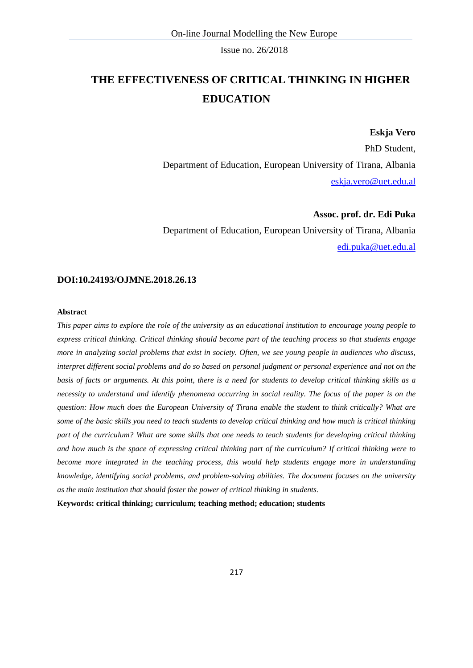# **THE EFFECTIVENESS OF CRITICAL THINKING IN HIGHER EDUCATION**

#### **Eskja Vero**

PhD Student, Department of Education, European University of Tirana, Albania [eskja.vero@uet.edu.al](mailto:eskja.vero@uet.edu.al)

#### **Assoc. prof. dr. Edi Puka**

Department of Education, European University of Tirana, Albania [edi.puka@uet.edu.al](mailto:edi.puka@uet.edu.al)

#### **DOI:10.24193/OJMNE.2018.26.13**

#### **Abstract**

*This paper aims to explore the role of the university as an educational institution to encourage young people to express critical thinking. Critical thinking should become part of the teaching process so that students engage more in analyzing social problems that exist in society. Often, we see young people in audiences who discuss, interpret different social problems and do so based on personal judgment or personal experience and not on the basis of facts or arguments. At this point, there is a need for students to develop critical thinking skills as a necessity to understand and identify phenomena occurring in social reality. The focus of the paper is on the question: How much does the European University of Tirana enable the student to think critically? What are some of the basic skills you need to teach students to develop critical thinking and how much is critical thinking part of the curriculum? What are some skills that one needs to teach students for developing critical thinking and how much is the space of expressing critical thinking part of the curriculum? If critical thinking were to become more integrated in the teaching process, this would help students engage more in understanding knowledge, identifying social problems, and problem-solving abilities. The document focuses on the university as the main institution that should foster the power of critical thinking in students.*

**Keywords: critical thinking; curriculum; teaching method; education; students**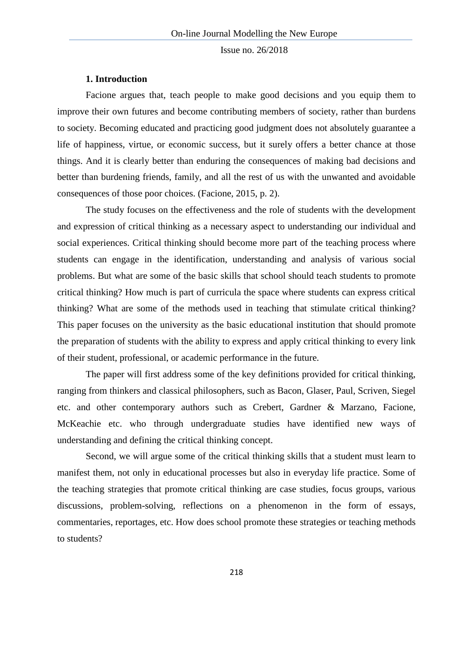#### **1. Introduction**

Facione argues that, teach people to make good decisions and you equip them to improve their own futures and become contributing members of society, rather than burdens to society. Becoming educated and practicing good judgment does not absolutely guarantee a life of happiness, virtue, or economic success, but it surely offers a better chance at those things. And it is clearly better than enduring the consequences of making bad decisions and better than burdening friends, family, and all the rest of us with the unwanted and avoidable consequences of those poor choices. (Facione, 2015, p. 2).

The study focuses on the effectiveness and the role of students with the development and expression of critical thinking as a necessary aspect to understanding our individual and social experiences. Critical thinking should become more part of the teaching process where students can engage in the identification, understanding and analysis of various social problems. But what are some of the basic skills that school should teach students to promote critical thinking? How much is part of curricula the space where students can express critical thinking? What are some of the methods used in teaching that stimulate critical thinking? This paper focuses on the university as the basic educational institution that should promote the preparation of students with the ability to express and apply critical thinking to every link of their student, professional, or academic performance in the future.

The paper will first address some of the key definitions provided for critical thinking, ranging from thinkers and classical philosophers, such as Bacon, Glaser, Paul, Scriven, Siegel etc. and other contemporary authors such as Crebert, Gardner & Marzano, Facione, McKeachie etc. who through undergraduate studies have identified new ways of understanding and defining the critical thinking concept.

Second, we will argue some of the critical thinking skills that a student must learn to manifest them, not only in educational processes but also in everyday life practice. Some of the teaching strategies that promote critical thinking are case studies, focus groups, various discussions, problem-solving, reflections on a phenomenon in the form of essays, commentaries, reportages, etc. How does school promote these strategies or teaching methods to students?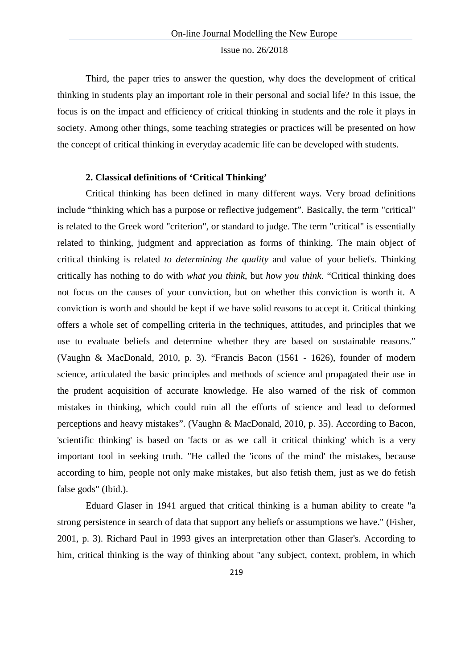Third, the paper tries to answer the question, why does the development of critical thinking in students play an important role in their personal and social life? In this issue, the focus is on the impact and efficiency of critical thinking in students and the role it plays in society. Among other things, some teaching strategies or practices will be presented on how the concept of critical thinking in everyday academic life can be developed with students.

#### **2. Classical definitions of 'Critical Thinking'**

Critical thinking has been defined in many different ways. Very broad definitions include "thinking which has a purpose or reflective judgement". Basically, the term "critical" is related to the Greek word "criterion", or standard to judge. The term "critical" is essentially related to thinking, judgment and appreciation as forms of thinking. The main object of critical thinking is related *to determining the quality* and value of your beliefs. Thinking critically has nothing to do with *what you think*, but *how you think*. "Critical thinking does not focus on the causes of your conviction, but on whether this conviction is worth it. A conviction is worth and should be kept if we have solid reasons to accept it. Critical thinking offers a whole set of compelling criteria in the techniques, attitudes, and principles that we use to evaluate beliefs and determine whether they are based on sustainable reasons." (Vaughn & MacDonald, 2010, p. 3). "Francis Bacon (1561 - 1626), founder of modern science, articulated the basic principles and methods of science and propagated their use in the prudent acquisition of accurate knowledge. He also warned of the risk of common mistakes in thinking, which could ruin all the efforts of science and lead to deformed perceptions and heavy mistakes". (Vaughn & MacDonald, 2010, p. 35). According to Bacon, 'scientific thinking' is based on 'facts or as we call it critical thinking' which is a very important tool in seeking truth. "He called the 'icons of the mind' the mistakes, because according to him, people not only make mistakes, but also fetish them, just as we do fetish false gods" (Ibid.).

Eduard Glaser in 1941 argued that critical thinking is a human ability to create "a strong persistence in search of data that support any beliefs or assumptions we have." (Fisher, 2001, p. 3). Richard Paul in 1993 gives an interpretation other than Glaser's. According to him, critical thinking is the way of thinking about "any subject, context, problem, in which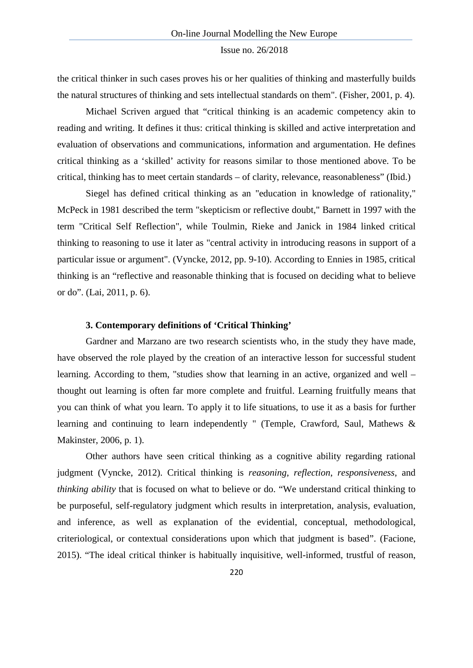the critical thinker in such cases proves his or her qualities of thinking and masterfully builds the natural structures of thinking and sets intellectual standards on them". (Fisher, 2001, p. 4).

Michael Scriven argued that "critical thinking is an academic competency akin to reading and writing. It defines it thus: critical thinking is skilled and active interpretation and evaluation of observations and communications, information and argumentation. He defines critical thinking as a 'skilled' activity for reasons similar to those mentioned above. To be critical, thinking has to meet certain standards – of clarity, relevance, reasonableness" (Ibid.)

Siegel has defined critical thinking as an "education in knowledge of rationality," McPeck in 1981 described the term "skepticism or reflective doubt," Barnett in 1997 with the term "Critical Self Reflection", while Toulmin, Rieke and Janick in 1984 linked critical thinking to reasoning to use it later as "central activity in introducing reasons in support of a particular issue or argument". (Vyncke, 2012, pp. 9-10). According to Ennies in 1985, critical thinking is an "reflective and reasonable thinking that is focused on deciding what to believe or do". (Lai, 2011, p. 6).

### **3. Contemporary definitions of 'Critical Thinking'**

Gardner and Marzano are two research scientists who, in the study they have made, have observed the role played by the creation of an interactive lesson for successful student learning. According to them, "studies show that learning in an active, organized and well – thought out learning is often far more complete and fruitful. Learning fruitfully means that you can think of what you learn. To apply it to life situations, to use it as a basis for further learning and continuing to learn independently " (Temple, Crawford, Saul, Mathews & Makinster, 2006, p. 1).

Other authors have seen critical thinking as a cognitive ability regarding rational judgment (Vyncke, 2012). Critical thinking is *reasoning*, *reflection*, *responsiveness*, and *thinking ability* that is focused on what to believe or do. "We understand critical thinking to be purposeful, self-regulatory judgment which results in interpretation, analysis, evaluation, and inference, as well as explanation of the evidential, conceptual, methodological, criteriological, or contextual considerations upon which that judgment is based". (Facione, 2015). "The ideal critical thinker is habitually inquisitive, well-informed, trustful of reason,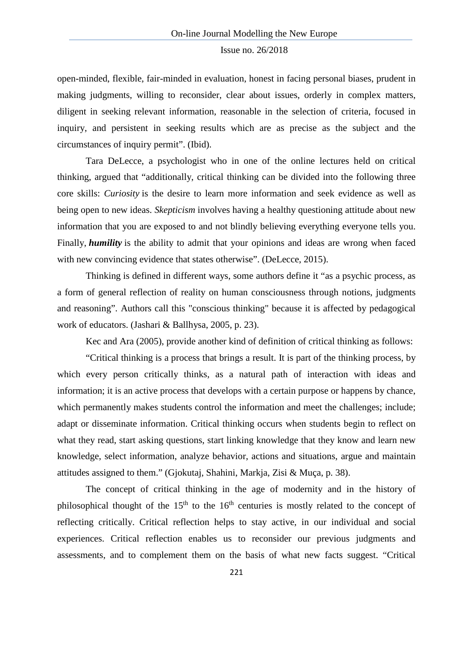open-minded, flexible, fair-minded in evaluation, honest in facing personal biases, prudent in making judgments, willing to reconsider, clear about issues, orderly in complex matters, diligent in seeking relevant information, reasonable in the selection of criteria, focused in inquiry, and persistent in seeking results which are as precise as the subject and the circumstances of inquiry permit". (Ibid).

Tara DeLecce, a psychologist who in one of the online lectures held on critical thinking, argued that "additionally, critical thinking can be divided into the following three core skills: *Curiosity* is the desire to learn more information and seek evidence as well as being open to new ideas. *Skepticism* involves having a healthy questioning attitude about new information that you are exposed to and not blindly believing everything everyone tells you. Finally, *humility* is the ability to admit that your opinions and ideas are wrong when faced with new convincing evidence that states otherwise". (DeLecce, 2015).

Thinking is defined in different ways, some authors define it "as a psychic process, as a form of general reflection of reality on human consciousness through notions, judgments and reasoning". Authors call this "conscious thinking" because it is affected by pedagogical work of educators. (Jashari & Ballhysa, 2005, p. 23).

Kec and Ara (2005), provide another kind of definition of critical thinking as follows:

"Critical thinking is a process that brings a result. It is part of the thinking process, by which every person critically thinks, as a natural path of interaction with ideas and information; it is an active process that develops with a certain purpose or happens by chance, which permanently makes students control the information and meet the challenges; include; adapt or disseminate information. Critical thinking occurs when students begin to reflect on what they read, start asking questions, start linking knowledge that they know and learn new knowledge, select information, analyze behavior, actions and situations, argue and maintain attitudes assigned to them." (Gjokutaj, Shahini, Markja, Zisi & Muça, p. 38).

The concept of critical thinking in the age of modernity and in the history of philosophical thought of the  $15<sup>th</sup>$  to the 16<sup>th</sup> centuries is mostly related to the concept of reflecting critically. Critical reflection helps to stay active, in our individual and social experiences. Critical reflection enables us to reconsider our previous judgments and assessments, and to complement them on the basis of what new facts suggest. "Critical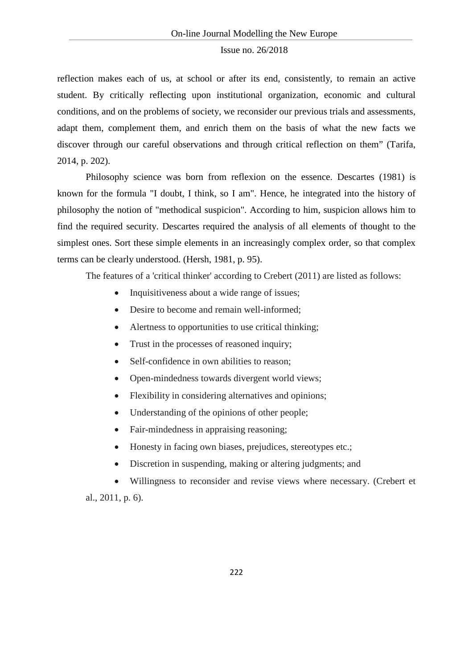reflection makes each of us, at school or after its end, consistently, to remain an active student. By critically reflecting upon institutional organization, economic and cultural conditions, and on the problems of society, we reconsider our previous trials and assessments, adapt them, complement them, and enrich them on the basis of what the new facts we discover through our careful observations and through critical reflection on them" (Tarifa, 2014, p. 202).

Philosophy science was born from reflexion on the essence. Descartes (1981) is known for the formula "I doubt, I think, so I am". Hence, he integrated into the history of philosophy the notion of "methodical suspicion". According to him, suspicion allows him to find the required security. Descartes required the analysis of all elements of thought to the simplest ones. Sort these simple elements in an increasingly complex order, so that complex terms can be clearly understood. (Hersh, 1981, p. 95).

The features of a 'critical thinker' according to Crebert (2011) are listed as follows:

- Inquisitiveness about a wide range of issues;
- Desire to become and remain well-informed:
- Alertness to opportunities to use critical thinking;
- Trust in the processes of reasoned inquiry;
- Self-confidence in own abilities to reason:
- Open-mindedness towards divergent world views:
- Flexibility in considering alternatives and opinions;
- Understanding of the opinions of other people;
- Fair-mindedness in appraising reasoning;
- Honesty in facing own biases, prejudices, stereotypes etc.;
- Discretion in suspending, making or altering judgments; and

• Willingness to reconsider and revise views where necessary. (Crebert et al., 2011, p. 6).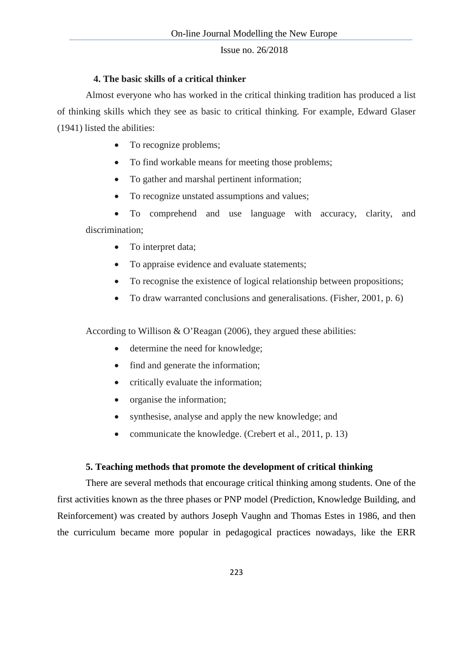### **4. The basic skills of a critical thinker**

Almost everyone who has worked in the critical thinking tradition has produced a list of thinking skills which they see as basic to critical thinking. For example, Edward Glaser (1941) listed the abilities:

- To recognize problems;
- To find workable means for meeting those problems;
- To gather and marshal pertinent information;
- To recognize unstated assumptions and values;

• To comprehend and use language with accuracy, clarity, and discrimination;

- To interpret data;
- To appraise evidence and evaluate statements;
- To recognise the existence of logical relationship between propositions;
- To draw warranted conclusions and generalisations. (Fisher, 2001, p. 6)

According to Willison & O'Reagan (2006), they argued these abilities:

- determine the need for knowledge;
- find and generate the information;
- critically evaluate the information;
- organise the information;
- synthesise, analyse and apply the new knowledge; and
- communicate the knowledge. (Crebert et al., 2011, p. 13)

### **5. Teaching methods that promote the development of critical thinking**

There are several methods that encourage critical thinking among students. One of the first activities known as the three phases or PNP model (Prediction, Knowledge Building, and Reinforcement) was created by authors Joseph Vaughn and Thomas Estes in 1986, and then the curriculum became more popular in pedagogical practices nowadays, like the ERR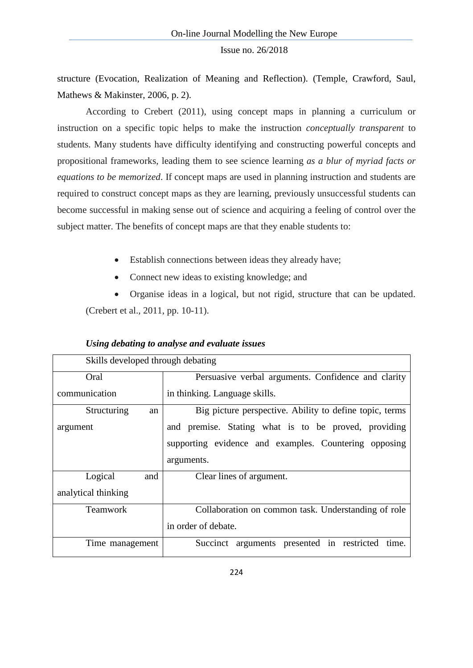structure (Evocation, Realization of Meaning and Reflection). (Temple, Crawford, Saul, Mathews & Makinster, 2006, p. 2).

According to Crebert (2011), using concept maps in planning a curriculum or instruction on a specific topic helps to make the instruction *conceptually transparent* to students. Many students have difficulty identifying and constructing powerful concepts and propositional frameworks, leading them to see science learning *as a blur of myriad facts or equations to be memorized*. If concept maps are used in planning instruction and students are required to construct concept maps as they are learning, previously unsuccessful students can become successful in making sense out of science and acquiring a feeling of control over the subject matter. The benefits of concept maps are that they enable students to:

- Establish connections between ideas they already have;
- Connect new ideas to existing knowledge; and

• Organise ideas in a logical, but not rigid, structure that can be updated. (Crebert et al., 2011, pp. 10-11).

| Skills developed through debating |                                                         |
|-----------------------------------|---------------------------------------------------------|
| Oral                              | Persuasive verbal arguments. Confidence and clarity     |
| communication                     | in thinking. Language skills.                           |
| Structuring<br>an                 | Big picture perspective. Ability to define topic, terms |
| argument                          | and premise. Stating what is to be proved, providing    |
|                                   | supporting evidence and examples. Countering opposing   |
|                                   | arguments.                                              |
| Logical<br>and                    | Clear lines of argument.                                |
| analytical thinking               |                                                         |
| <b>Teamwork</b>                   | Collaboration on common task. Understanding of role     |
|                                   | in order of debate.                                     |
| Time management                   | Succinct arguments presented in restricted<br>time.     |

### *Using debating to analyse and evaluate issues*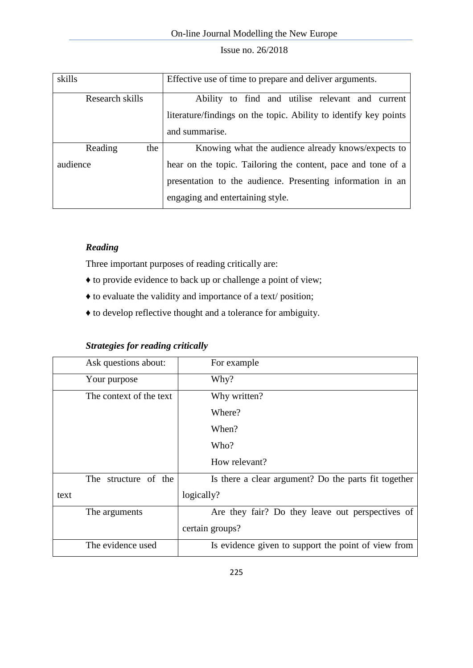| skills          | Effective use of time to prepare and deliver arguments.          |
|-----------------|------------------------------------------------------------------|
| Research skills | Ability to find and utilise relevant and current                 |
|                 | literature/findings on the topic. Ability to identify key points |
|                 | and summarise.                                                   |
| Reading<br>the  | Knowing what the audience already knows/expects to               |
| audience        | hear on the topic. Tailoring the content, pace and tone of a     |
|                 | presentation to the audience. Presenting information in an       |
|                 | engaging and entertaining style.                                 |

### *Reading*

Three important purposes of reading critically are:

- ♦ to provide evidence to back up or challenge a point of view;
- ♦ to evaluate the validity and importance of a text/ position;
- ♦ to develop reflective thought and a tolerance for ambiguity.

### *Strategies for reading critically*

| Ask questions about:    | For example                                          |
|-------------------------|------------------------------------------------------|
| Your purpose            | Why?                                                 |
| The context of the text | Why written?                                         |
|                         | Where?                                               |
|                         | When?                                                |
|                         | Who?                                                 |
|                         | How relevant?                                        |
| The structure of the    | Is there a clear argument? Do the parts fit together |
| text                    | logically?                                           |
| The arguments           | Are they fair? Do they leave out perspectives of     |
|                         | certain groups?                                      |
| The evidence used       | Is evidence given to support the point of view from  |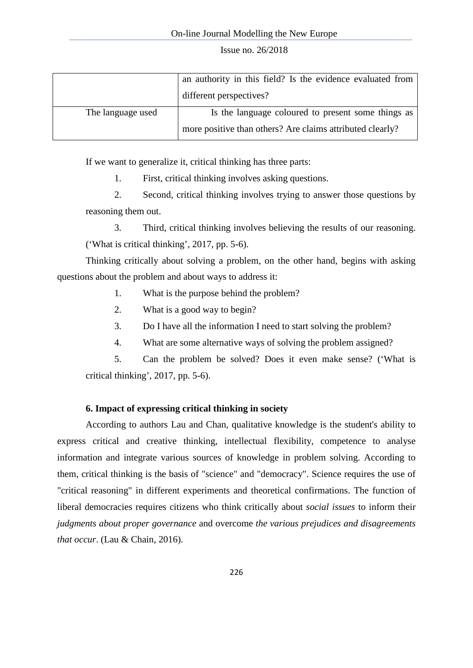|                   | an authority in this field? Is the evidence evaluated from |
|-------------------|------------------------------------------------------------|
|                   | different perspectives?                                    |
| The language used | Is the language coloured to present some things as         |
|                   | more positive than others? Are claims attributed clearly?  |

If we want to generalize it, critical thinking has three parts:

1. First, critical thinking involves asking questions.

2. Second, critical thinking involves trying to answer those questions by reasoning them out.

3. Third, critical thinking involves believing the results of our reasoning. ('What is critical thinking', 2017, pp. 5-6).

Thinking critically about solving a problem, on the other hand, begins with asking questions about the problem and about ways to address it:

- 1. What is the purpose behind the problem?
- 2. What is a good way to begin?
- 3. Do I have all the information I need to start solving the problem?
- 4. What are some alternative ways of solving the problem assigned?

5. Can the problem be solved? Does it even make sense? ('What is critical thinking', 2017, pp. 5-6).

### **6. Impact of expressing critical thinking in society**

According to authors Lau and Chan, qualitative knowledge is the student's ability to express critical and creative thinking, intellectual flexibility, competence to analyse information and integrate various sources of knowledge in problem solving. According to them, critical thinking is the basis of "science" and "democracy". Science requires the use of "critical reasoning" in different experiments and theoretical confirmations. The function of liberal democracies requires citizens who think critically about *social issues* to inform their *judgments about proper governance* and overcome *the various prejudices and disagreements that occur*. (Lau & Chain, 2016).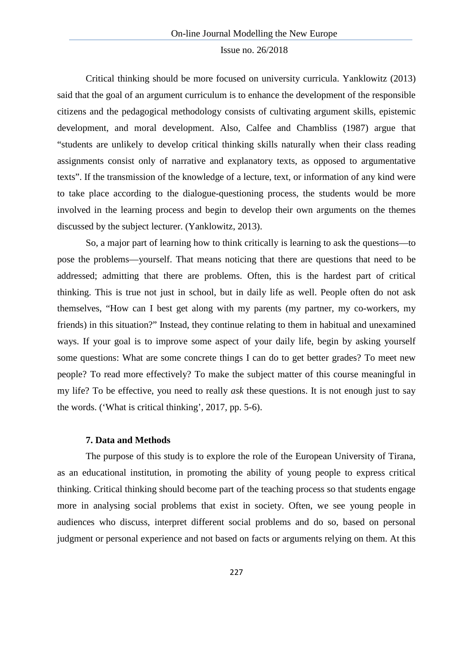Critical thinking should be more focused on university curricula. Yanklowitz (2013) said that the goal of an argument curriculum is to enhance the development of the responsible citizens and the pedagogical methodology consists of cultivating argument skills, epistemic development, and moral development. Also, Calfee and Chambliss (1987) argue that "students are unlikely to develop critical thinking skills naturally when their class reading assignments consist only of narrative and explanatory texts, as opposed to argumentative texts". If the transmission of the knowledge of a lecture, text, or information of any kind were to take place according to the dialogue-questioning process, the students would be more involved in the learning process and begin to develop their own arguments on the themes discussed by the subject lecturer. (Yanklowitz, 2013).

So, a major part of learning how to think critically is learning to ask the questions—to pose the problems—yourself. That means noticing that there are questions that need to be addressed; admitting that there are problems. Often, this is the hardest part of critical thinking. This is true not just in school, but in daily life as well. People often do not ask themselves, "How can I best get along with my parents (my partner, my co-workers, my friends) in this situation?" Instead, they continue relating to them in habitual and unexamined ways. If your goal is to improve some aspect of your daily life, begin by asking yourself some questions: What are some concrete things I can do to get better grades? To meet new people? To read more effectively? To make the subject matter of this course meaningful in my life? To be effective, you need to really *ask* these questions. It is not enough just to say the words. ('What is critical thinking', 2017, pp. 5-6).

#### **7. Data and Methods**

The purpose of this study is to explore the role of the European University of Tirana, as an educational institution, in promoting the ability of young people to express critical thinking. Critical thinking should become part of the teaching process so that students engage more in analysing social problems that exist in society. Often, we see young people in audiences who discuss, interpret different social problems and do so, based on personal judgment or personal experience and not based on facts or arguments relying on them. At this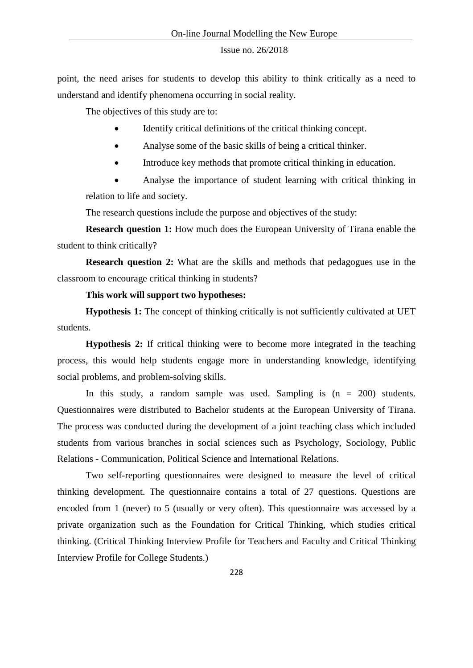point, the need arises for students to develop this ability to think critically as a need to understand and identify phenomena occurring in social reality.

The objectives of this study are to:

- Identify critical definitions of the critical thinking concept.
- Analyse some of the basic skills of being a critical thinker.
- Introduce key methods that promote critical thinking in education.

• Analyse the importance of student learning with critical thinking in relation to life and society.

The research questions include the purpose and objectives of the study:

**Research question 1:** How much does the European University of Tirana enable the student to think critically?

**Research question 2:** What are the skills and methods that pedagogues use in the classroom to encourage critical thinking in students?

#### **This work will support two hypotheses:**

**Hypothesis 1:** The concept of thinking critically is not sufficiently cultivated at UET students.

**Hypothesis 2:** If critical thinking were to become more integrated in the teaching process, this would help students engage more in understanding knowledge, identifying social problems, and problem-solving skills.

In this study, a random sample was used. Sampling is  $(n = 200)$  students. Questionnaires were distributed to Bachelor students at the European University of Tirana. The process was conducted during the development of a joint teaching class which included students from various branches in social sciences such as Psychology, Sociology, Public Relations - Communication, Political Science and International Relations.

Two self-reporting questionnaires were designed to measure the level of critical thinking development. The questionnaire contains a total of 27 questions. Questions are encoded from 1 (never) to 5 (usually or very often). This questionnaire was accessed by a private organization such as the Foundation for Critical Thinking, which studies critical thinking. (Critical Thinking Interview Profile for Teachers and Faculty and Critical Thinking Interview Profile for College Students.)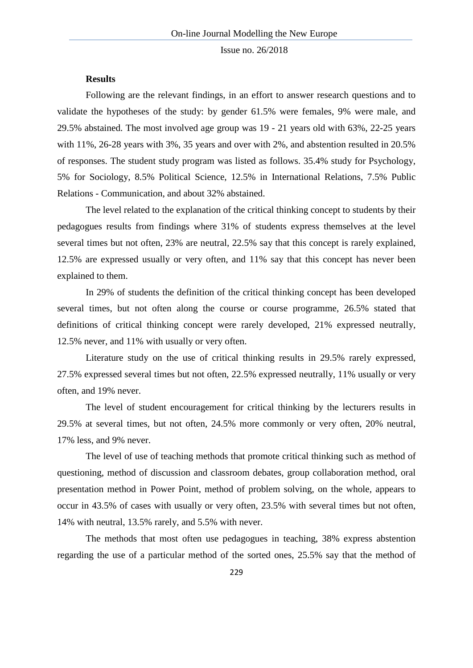#### **Results**

Following are the relevant findings, in an effort to answer research questions and to validate the hypotheses of the study: by gender 61.5% were females, 9% were male, and 29.5% abstained. The most involved age group was 19 - 21 years old with 63%, 22-25 years with 11%, 26-28 years with 3%, 35 years and over with 2%, and abstention resulted in 20.5% of responses. The student study program was listed as follows. 35.4% study for Psychology, 5% for Sociology, 8.5% Political Science, 12.5% in International Relations, 7.5% Public Relations - Communication, and about 32% abstained.

The level related to the explanation of the critical thinking concept to students by their pedagogues results from findings where 31% of students express themselves at the level several times but not often, 23% are neutral, 22.5% say that this concept is rarely explained, 12.5% are expressed usually or very often, and 11% say that this concept has never been explained to them.

In 29% of students the definition of the critical thinking concept has been developed several times, but not often along the course or course programme, 26.5% stated that definitions of critical thinking concept were rarely developed, 21% expressed neutrally, 12.5% never, and 11% with usually or very often.

Literature study on the use of critical thinking results in 29.5% rarely expressed, 27.5% expressed several times but not often, 22.5% expressed neutrally, 11% usually or very often, and 19% never.

The level of student encouragement for critical thinking by the lecturers results in 29.5% at several times, but not often, 24.5% more commonly or very often, 20% neutral, 17% less, and 9% never.

The level of use of teaching methods that promote critical thinking such as method of questioning, method of discussion and classroom debates, group collaboration method, oral presentation method in Power Point, method of problem solving, on the whole, appears to occur in 43.5% of cases with usually or very often, 23.5% with several times but not often, 14% with neutral, 13.5% rarely, and 5.5% with never.

The methods that most often use pedagogues in teaching, 38% express abstention regarding the use of a particular method of the sorted ones, 25.5% say that the method of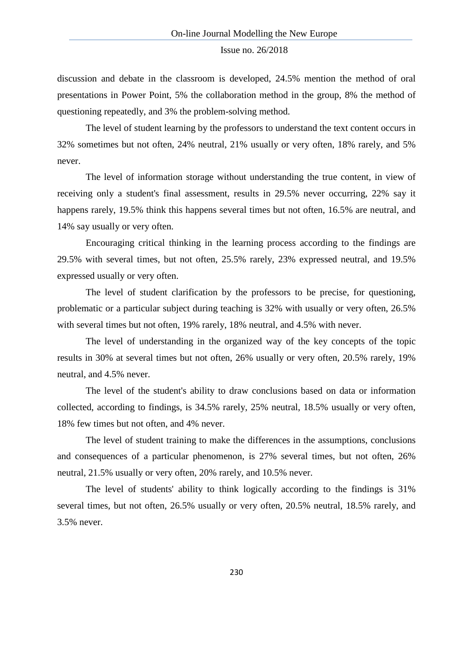discussion and debate in the classroom is developed, 24.5% mention the method of oral presentations in Power Point, 5% the collaboration method in the group, 8% the method of questioning repeatedly, and 3% the problem-solving method.

The level of student learning by the professors to understand the text content occurs in 32% sometimes but not often, 24% neutral, 21% usually or very often, 18% rarely, and 5% never.

The level of information storage without understanding the true content, in view of receiving only a student's final assessment, results in 29.5% never occurring, 22% say it happens rarely, 19.5% think this happens several times but not often, 16.5% are neutral, and 14% say usually or very often.

Encouraging critical thinking in the learning process according to the findings are 29.5% with several times, but not often, 25.5% rarely, 23% expressed neutral, and 19.5% expressed usually or very often.

The level of student clarification by the professors to be precise, for questioning, problematic or a particular subject during teaching is 32% with usually or very often, 26.5% with several times but not often, 19% rarely, 18% neutral, and 4.5% with never.

The level of understanding in the organized way of the key concepts of the topic results in 30% at several times but not often, 26% usually or very often, 20.5% rarely, 19% neutral, and 4.5% never.

The level of the student's ability to draw conclusions based on data or information collected, according to findings, is 34.5% rarely, 25% neutral, 18.5% usually or very often, 18% few times but not often, and 4% never.

The level of student training to make the differences in the assumptions, conclusions and consequences of a particular phenomenon, is 27% several times, but not often, 26% neutral, 21.5% usually or very often, 20% rarely, and 10.5% never.

The level of students' ability to think logically according to the findings is 31% several times, but not often, 26.5% usually or very often, 20.5% neutral, 18.5% rarely, and 3.5% never.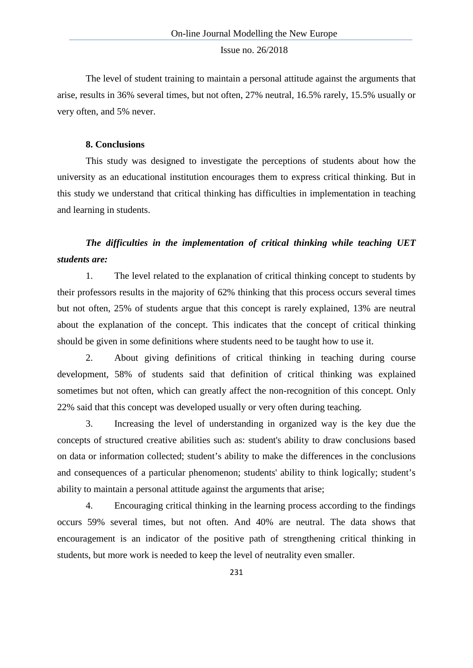The level of student training to maintain a personal attitude against the arguments that arise, results in 36% several times, but not often, 27% neutral, 16.5% rarely, 15.5% usually or very often, and 5% never.

#### **8. Conclusions**

This study was designed to investigate the perceptions of students about how the university as an educational institution encourages them to express critical thinking. But in this study we understand that critical thinking has difficulties in implementation in teaching and learning in students.

## *The difficulties in the implementation of critical thinking while teaching UET students are:*

1. The level related to the explanation of critical thinking concept to students by their professors results in the majority of 62% thinking that this process occurs several times but not often, 25% of students argue that this concept is rarely explained, 13% are neutral about the explanation of the concept. This indicates that the concept of critical thinking should be given in some definitions where students need to be taught how to use it.

2. About giving definitions of critical thinking in teaching during course development, 58% of students said that definition of critical thinking was explained sometimes but not often, which can greatly affect the non-recognition of this concept. Only 22% said that this concept was developed usually or very often during teaching.

3. Increasing the level of understanding in organized way is the key due the concepts of structured creative abilities such as: student's ability to draw conclusions based on data or information collected; student's ability to make the differences in the conclusions and consequences of a particular phenomenon; students' ability to think logically; student's ability to maintain a personal attitude against the arguments that arise;

4. Encouraging critical thinking in the learning process according to the findings occurs 59% several times, but not often. And 40% are neutral. The data shows that encouragement is an indicator of the positive path of strengthening critical thinking in students, but more work is needed to keep the level of neutrality even smaller.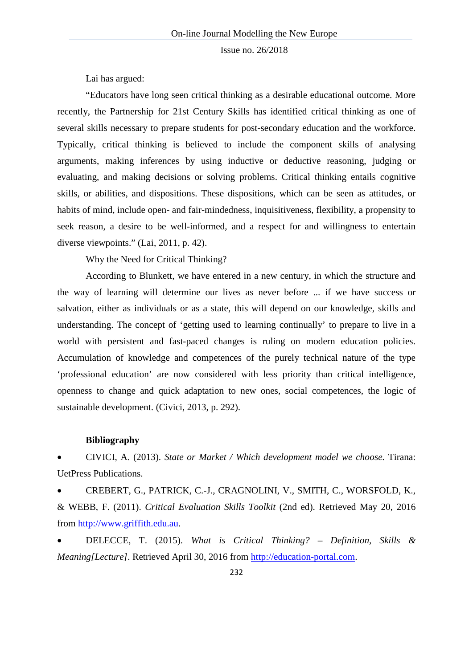Lai has argued:

"Educators have long seen critical thinking as a desirable educational outcome. More recently, the Partnership for 21st Century Skills has identified critical thinking as one of several skills necessary to prepare students for post-secondary education and the workforce. Typically, critical thinking is believed to include the component skills of analysing arguments, making inferences by using inductive or deductive reasoning, judging or evaluating, and making decisions or solving problems. Critical thinking entails cognitive skills, or abilities, and dispositions. These dispositions, which can be seen as attitudes, or habits of mind, include open- and fair-mindedness, inquisitiveness, flexibility, a propensity to seek reason, a desire to be well-informed, and a respect for and willingness to entertain diverse viewpoints." (Lai, 2011, p. 42).

Why the Need for Critical Thinking?

According to Blunkett, we have entered in a new century, in which the structure and the way of learning will determine our lives as never before ... if we have success or salvation, either as individuals or as a state, this will depend on our knowledge, skills and understanding. The concept of 'getting used to learning continually' to prepare to live in a world with persistent and fast-paced changes is ruling on modern education policies. Accumulation of knowledge and competences of the purely technical nature of the type 'professional education' are now considered with less priority than critical intelligence, openness to change and quick adaptation to new ones, social competences, the logic of sustainable development. (Civici, 2013, p. 292).

#### **Bibliography**

• CIVICI, A. (2013). *State or Market / Which development model we choose.* Tirana: UetPress Publications.

• CREBERT, G., PATRICK, C.-J., CRAGNOLINI, V., SMITH, C., WORSFOLD, K., & WEBB, F. (2011). *Critical Evaluation Skills Toolkit* (2nd ed). Retrieved May 20, 2016 from [http://www.griffith.edu.au.](http://www.griffith.edu.au/)

• DELECCE, T. (2015). *What is Critical Thinking? – Definition, Skills & Meaning[Lecture]*. Retrieved April 30, 2016 from [http://education-portal.com.](http://education-portal.com/)